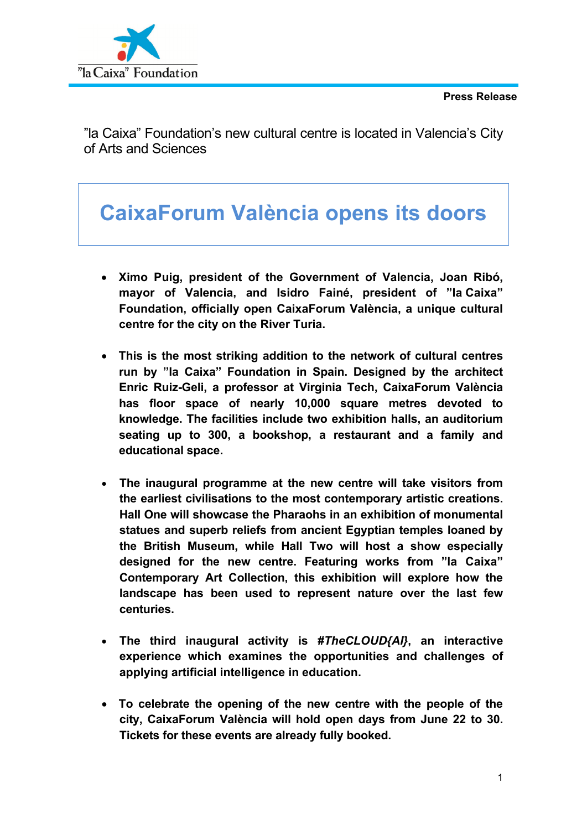

"la Caixa" Foundation's new cultural centre is located in Valencia's City of Arts and Sciences

# **CaixaForum València opens its doors**

- **Ximo Puig, president of the Government of Valencia, Joan Ribó, mayor of Valencia, and Isidro Fainé, president of "la Caixa" Foundation, officially open CaixaForum València, a unique cultural centre for the city on the River Turia.**
- **This is the most striking addition to the network of cultural centres run by "la Caixa" Foundation in Spain. Designed by the architect Enric Ruiz-Geli, a professor at Virginia Tech, CaixaForum València has floor space of nearly 10,000 square metres devoted to knowledge. The facilities include two exhibition halls, an auditorium seating up to 300, a bookshop, a restaurant and a family and educational space.**
- **The inaugural programme at the new centre will take visitors from the earliest civilisations to the most contemporary artistic creations. Hall One will showcase the Pharaohs in an exhibition of monumental statues and superb reliefs from ancient Egyptian temples loaned by the British Museum, while Hall Two will host a show especially designed for the new centre. Featuring works from "la Caixa" Contemporary Art Collection, this exhibition will explore how the landscape has been used to represent nature over the last few centuries.**
- **The third inaugural activity is** *#TheCLOUD{AI}***, an interactive experience which examines the opportunities and challenges of applying artificial intelligence in education.**
- **To celebrate the opening of the new centre with the people of the city, CaixaForum València will hold open days from June 22 to 30. Tickets for these events are already fully booked.**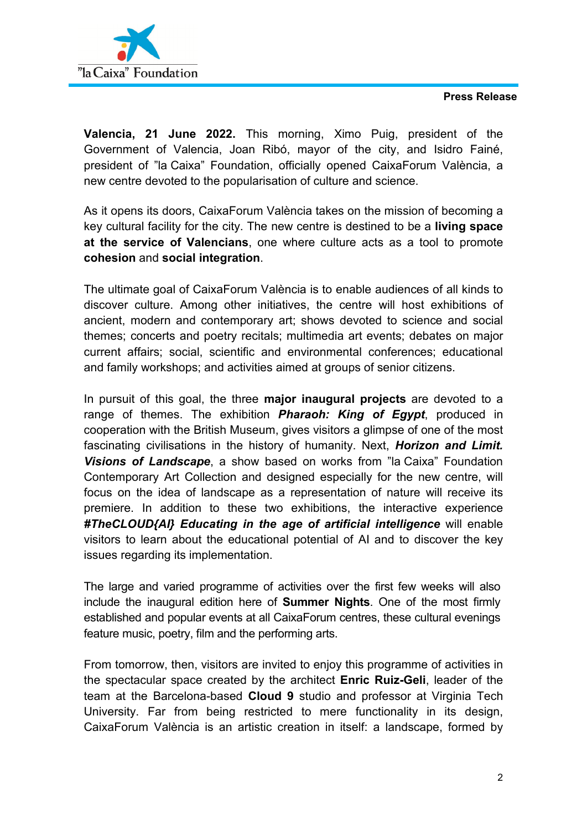

**Valencia, 21 June 2022.** This morning, Ximo Puig, president of the Government of Valencia, Joan Ribó, mayor of the city, and Isidro Fainé, president of "la Caixa" Foundation, officially opened CaixaForum València, a new centre devoted to the popularisation of culture and science.

As it opens its doors, CaixaForum València takes on the mission of becoming a key cultural facility for the city. The new centre is destined to be a **living space at the service of Valencians**, one where culture acts as a tool to promote **cohesion** and **social integration**.

The ultimate goal of CaixaForum València is to enable audiences of all kinds to discover culture. Among other initiatives, the centre will host exhibitions of ancient, modern and contemporary art; shows devoted to science and social themes; concerts and poetry recitals; multimedia art events; debates on major current affairs; social, scientific and environmental conferences; educational and family workshops; and activities aimed at groups of senior citizens.

In pursuit of this goal, the three **major inaugural projects** are devoted to a range of themes. The exhibition *Pharaoh: King of Egypt*, produced in cooperation with the British Museum, gives visitors a glimpse of one of the most fascinating civilisations in the history of humanity. Next, *Horizon and Limit. Visions of Landscape*, a show based on works from "la Caixa" Foundation Contemporary Art Collection and designed especially for the new centre, will focus on the idea of landscape as a representation of nature will receive its premiere. In addition to these two exhibitions, the interactive experience *#TheCLOUD{AI} Educating in the age of artificial intelligence* will enable visitors to learn about the educational potential of AI and to discover the key issues regarding its implementation.

The large and varied programme of activities over the first few weeks will also include the inaugural edition here of **Summer Nights**. One of the most firmly established and popular events at all CaixaForum centres, these cultural evenings feature music, poetry, film and the performing arts.

From tomorrow, then, visitors are invited to enjoy this programme of activities in the spectacular space created by the architect **Enric Ruiz-Geli**, leader of the team at the Barcelona-based **Cloud 9** studio and professor at Virginia Tech University. Far from being restricted to mere functionality in its design, CaixaForum València is an artistic creation in itself: a landscape, formed by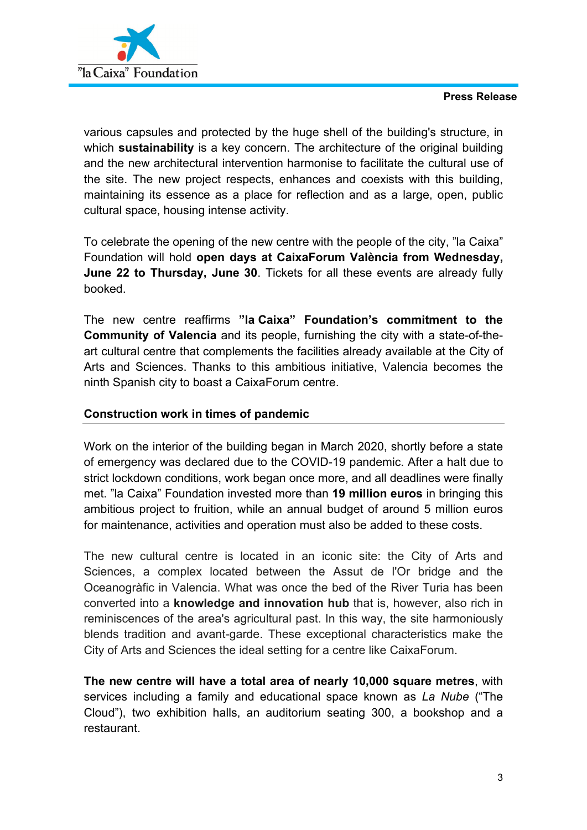



various capsules and protected by the huge shell of the building's structure, in which **sustainability** is a key concern. The architecture of the original building and the new architectural intervention harmonise to facilitate the cultural use of the site. The new project respects, enhances and coexists with this building, maintaining its essence as a place for reflection and as a large, open, public cultural space, housing intense activity.

To celebrate the opening of the new centre with the people of the city, "la Caixa" Foundation will hold **open days at CaixaForum València from Wednesday, June 22 to Thursday, June 30**. Tickets for all these events are already fully booked.

The new centre reaffirms **"la Caixa" Foundation's commitment to the Community of Valencia** and its people, furnishing the city with a state-of-theart cultural centre that complements the facilities already available at the City of Arts and Sciences. Thanks to this ambitious initiative, Valencia becomes the ninth Spanish city to boast a CaixaForum centre.

## **Construction work in times of pandemic**

Work on the interior of the building began in March 2020, shortly before a state of emergency was declared due to the COVID-19 pandemic. After a halt due to strict lockdown conditions, work began once more, and all deadlines were finally met. "la Caixa" Foundation invested more than **19 million euros** in bringing this ambitious project to fruition, while an annual budget of around 5 million euros for maintenance, activities and operation must also be added to these costs.

The new cultural centre is located in an iconic site: the City of Arts and Sciences, a complex located between the Assut de l'Or bridge and the Oceanogràfic in Valencia. What was once the bed of the River Turia has been converted into a **knowledge and innovation hub** that is, however, also rich in reminiscences of the area's agricultural past. In this way, the site harmoniously blends tradition and avant-garde. These exceptional characteristics make the City of Arts and Sciences the ideal setting for a centre like CaixaForum.

**The new centre will have a total area of nearly 10,000 square metres**, with services including a family and educational space known as *La Nube* ("The Cloud"), two exhibition halls, an auditorium seating 300, a bookshop and a restaurant.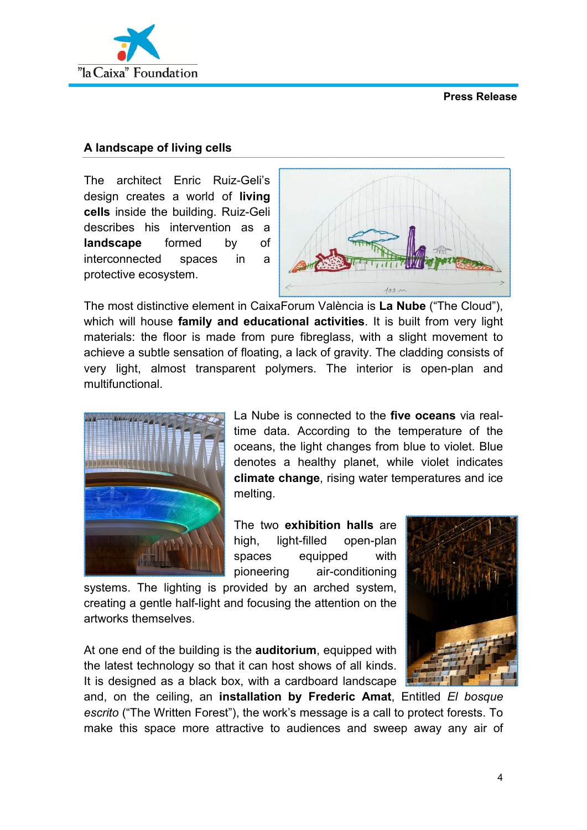

## **A landscape of living cells**

The architect Enric Ruiz-Geli's design creates a world of **living cells** inside the building. Ruiz-Geli describes his intervention as a **landscape** formed by of interconnected spaces in a protective ecosystem.



The most distinctive element in CaixaForum València is **La Nube** ("The Cloud"), which will house **family and educational activities**. It is built from very light materials: the floor is made from pure fibreglass, with a slight movement to achieve a subtle sensation of floating, a lack of gravity. The cladding consists of very light, almost transparent polymers. The interior is open-plan and multifunctional.



La Nube is connected to the **five oceans** via realtime data. According to the temperature of the oceans, the light changes from blue to violet. Blue denotes a healthy planet, while violet indicates **climate change**, rising water temperatures and ice melting.

The two **exhibition halls** are high, light-filled open-plan spaces equipped with pioneering air-conditioning

systems. The lighting is provided by an arched system, creating a gentle half-light and focusing the attention on the artworks themselves.

At one end of the building is the **auditorium**, equipped with the latest technology so that it can host shows of all kinds. It is designed as a black box, with a cardboard landscape



and, on the ceiling, an **installation by Frederic Amat**, Entitled *El bosque escrito* ("The Written Forest"), the work's message is a call to protect forests. To make this space more attractive to audiences and sweep away any air of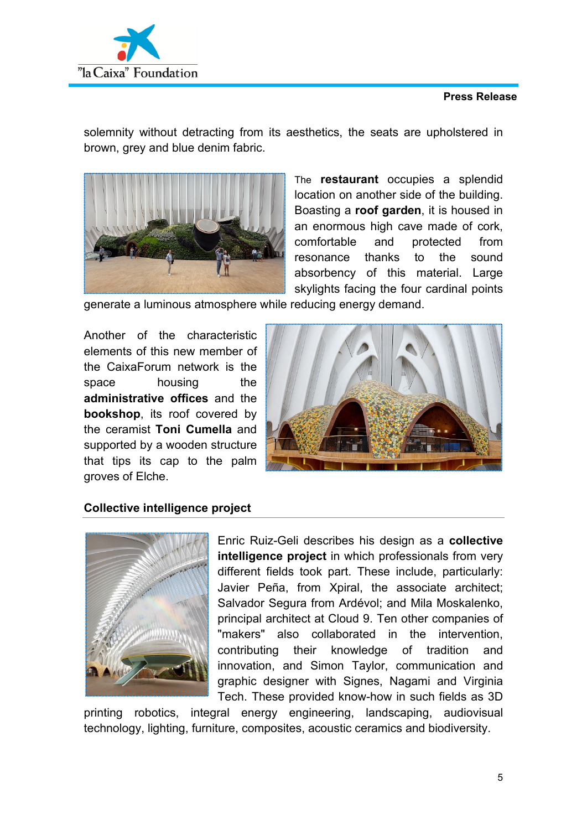

solemnity without detracting from its aesthetics, the seats are upholstered in brown, grey and blue denim fabric.



The **restaurant** occupies a splendid location on another side of the building. Boasting a **roof garden**, it is housed in an enormous high cave made of cork, comfortable and protected from resonance thanks to the sound absorbency of this material. Large skylights facing the four cardinal points

generate a luminous atmosphere while reducing energy demand.

Another of the characteristic elements of this new member of the CaixaForum network is the space housing the **administrative offices** and the **bookshop**, its roof covered by the ceramist **Toni Cumella** and supported by a wooden structure that tips its cap to the palm groves of Elche.



## **Collective intelligence project**



Enric Ruiz-Geli describes his design as a **collective intelligence project** in which professionals from very different fields took part. These include, particularly: Javier Peña, from Xpiral, the associate architect; Salvador Segura from Ardévol; and Mila Moskalenko, principal architect at Cloud 9. Ten other companies of "makers" also collaborated in the intervention, contributing their knowledge of tradition and innovation, and Simon Taylor, communication and graphic designer with Signes, Nagami and Virginia Tech. These provided know-how in such fields as 3D

printing robotics, integral energy engineering, landscaping, audiovisual technology, lighting, furniture, composites, acoustic ceramics and biodiversity.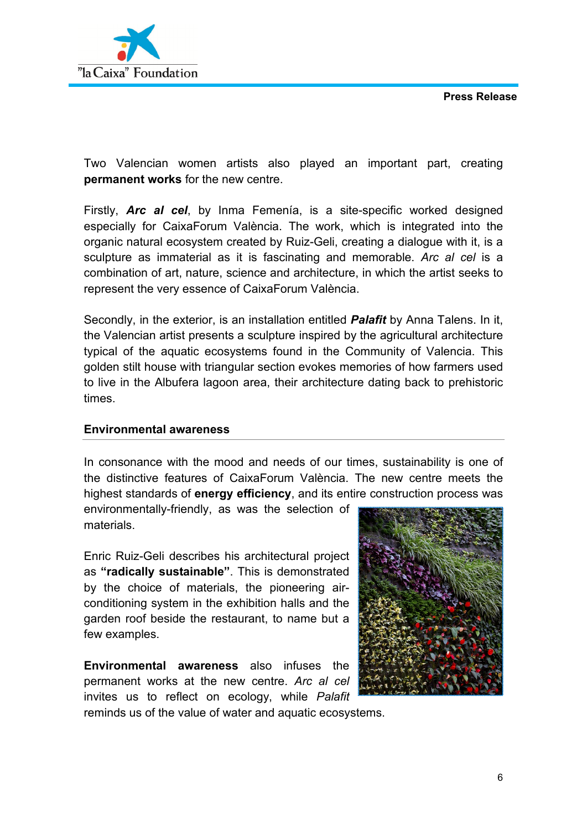

Two Valencian women artists also played an important part, creating **permanent works** for the new centre.

Firstly, *Arc al cel*, by Inma Femenía, is a site-specific worked designed especially for CaixaForum València. The work, which is integrated into the organic natural ecosystem created by Ruiz-Geli, creating a dialogue with it, is a sculpture as immaterial as it is fascinating and memorable. *Arc al cel* is a combination of art, nature, science and architecture, in which the artist seeks to represent the very essence of CaixaForum València.

Secondly, in the exterior, is an installation entitled *Palafit* by Anna Talens. In it, the Valencian artist presents a sculpture inspired by the agricultural architecture typical of the aquatic ecosystems found in the Community of Valencia. This golden stilt house with triangular section evokes memories of how farmers used to live in the Albufera lagoon area, their architecture dating back to prehistoric times.

## **Environmental awareness**

In consonance with the mood and needs of our times, sustainability is one of the distinctive features of CaixaForum València. The new centre meets the highest standards of **energy efficiency**, and its entire construction process was

environmentally-friendly, as was the selection of materials.

Enric Ruiz-Geli describes his architectural project as **"radically sustainable"**. This is demonstrated by the choice of materials, the pioneering airconditioning system in the exhibition halls and the garden roof beside the restaurant, to name but a few examples.

**Environmental awareness** also infuses the permanent works at the new centre. *Arc al cel* invites us to reflect on ecology, while *Palafit*



reminds us of the value of water and aquatic ecosystems.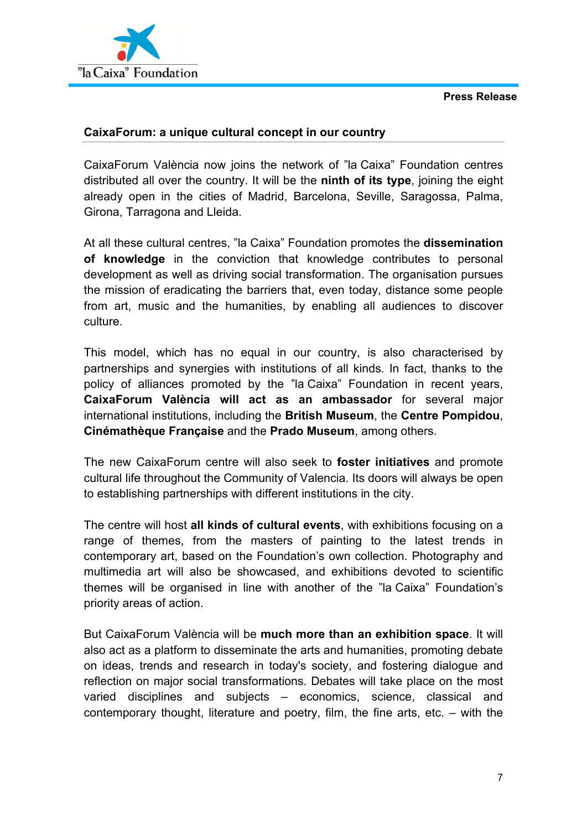

## **CaixaForum: a unique cultural concept in our country**

CaixaForum València now joins the network of "la Caixa" Foundation centres distributed all over the country. It will be the **ninth of its type**, joining the eight already open in the cities of Madrid, Barcelona, Seville, Saragossa, Palma, Girona, Tarragona and Lleida.

At all these cultural centres, "la Caixa" Foundation promotes the **dissemination of knowledge** in the conviction that knowledge contributes to personal development as well as driving social transformation. The organisation pursues the mission of eradicating the barriers that, even today, distance some people from art, music and the humanities, by enabling all audiences to discover culture.

This model, which has no equal in our country, is also characterised by partnerships and synergies with institutions of all kinds. In fact, thanks to the policy of alliances promoted by the "la Caixa" Foundation in recent years, **CaixaForum València will act as an ambassador** for several major international institutions, including the **British Museum**, the **Centre Pompidou**, **Cinémathèque Française** and the **Prado Museum**, among others.

The new CaixaForum centre will also seek to **foster initiatives** and promote cultural life throughout the Community of Valencia. Its doors will always be open to establishing partnerships with different institutions in the city.

The centre will host **all kinds of cultural events**, with exhibitions focusing on a range of themes, from the masters of painting to the latest trends in contemporary art, based on the Foundation's own collection. Photography and multimedia art will also be showcased, and exhibitions devoted to scientific themes will be organised in line with another of the "la Caixa" Foundation's priority areas of action.

But CaixaForum València will be **much more than an exhibition space**. It will also act as a platform to disseminate the arts and humanities, promoting debate on ideas, trends and research in today's society, and fostering dialogue and reflection on major social transformations. Debates will take place on the most varied disciplines and subjects – economics, science, classical and contemporary thought, literature and poetry, film, the fine arts, etc. – with the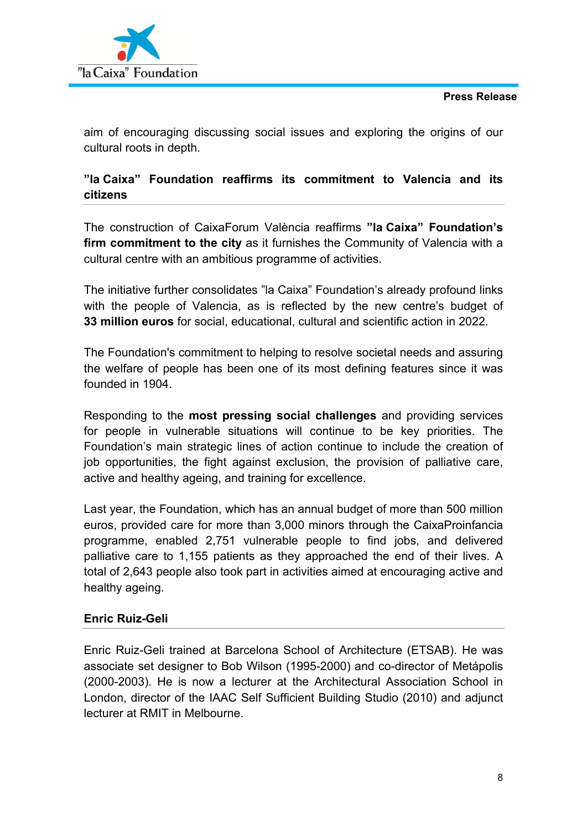

aim of encouraging discussing social issues and exploring the origins of our cultural roots in depth.

# **"la Caixa" Foundation reaffirms its commitment to Valencia and its citizens**

The construction of CaixaForum València reaffirms **"la Caixa" Foundation's firm commitment to the city** as it furnishes the Community of Valencia with a cultural centre with an ambitious programme of activities.

The initiative further consolidates "la Caixa" Foundation's already profound links with the people of Valencia, as is reflected by the new centre's budget of **33 million euros** for social, educational, cultural and scientific action in 2022.

The Foundation's commitment to helping to resolve societal needs and assuring the welfare of people has been one of its most defining features since it was founded in 1904.

Responding to the **most pressing social challenges** and providing services for people in vulnerable situations will continue to be key priorities. The Foundation's main strategic lines of action continue to include the creation of job opportunities, the fight against exclusion, the provision of palliative care, active and healthy ageing, and training for excellence.

Last year, the Foundation, which has an annual budget of more than 500 million euros, provided care for more than 3,000 minors through the CaixaProinfancia programme, enabled 2,751 vulnerable people to find jobs, and delivered palliative care to 1,155 patients as they approached the end of their lives. A total of 2,643 people also took part in activities aimed at encouraging active and healthy ageing.

## **Enric Ruiz-Geli**

Enric Ruiz-Geli trained at Barcelona School of Architecture (ETSAB). He was associate set designer to Bob Wilson (1995-2000) and co-director of Metápolis (2000-2003). He is now a lecturer at the Architectural Association School in London, director of the IAAC Self Sufficient Building Studio (2010) and adjunct lecturer at RMIT in Melbourne.